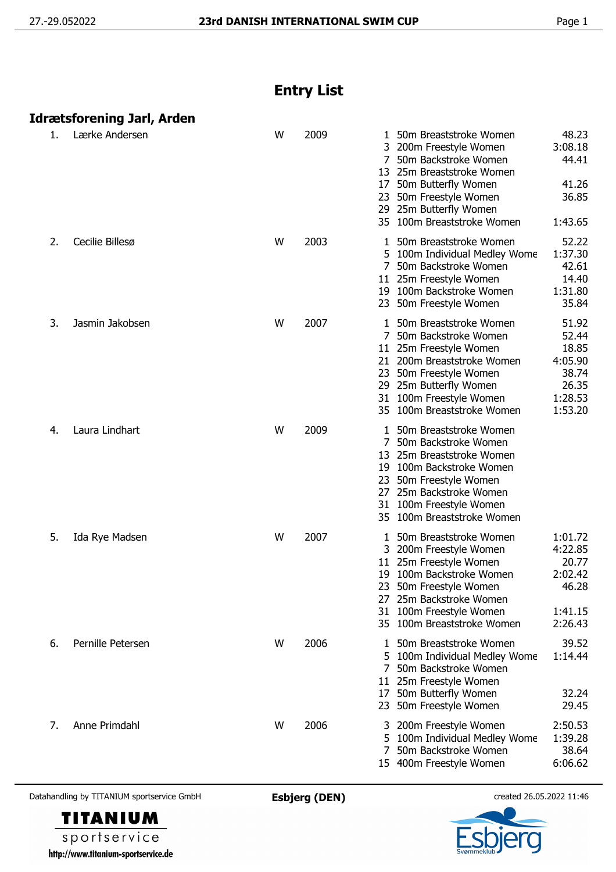## **Entry List**

| Idrætsforening Jarl, Arden |  |  |
|----------------------------|--|--|

| 1. | Lærke Andersen    | W | 2009 | 48.23<br>50m Breaststroke Women<br>3:08.18<br>200m Freestyle Women<br>50m Backstroke Women<br>44.41<br>7<br>25m Breaststroke Women<br>13<br>41.26<br>17<br>50m Butterfly Women<br>36.85<br>23 50m Freestyle Women<br>29 25m Butterfly Women<br>35 100m Breaststroke Women<br>1:43.65                             |
|----|-------------------|---|------|------------------------------------------------------------------------------------------------------------------------------------------------------------------------------------------------------------------------------------------------------------------------------------------------------------------|
| 2. | Cecilie Billesø   | W | 2003 | 52.22<br>50m Breaststroke Women<br>1:37.30<br>5 100m Individual Medley Wome<br>50m Backstroke Women<br>42.61<br>14.40<br>11 25m Freestyle Women<br>19 100m Backstroke Women<br>1:31.80<br>35.84<br>50m Freestyle Women<br>23                                                                                     |
| 3. | Jasmin Jakobsen   | W | 2007 | 50m Breaststroke Women<br>51.92<br>52.44<br>7<br>50m Backstroke Women<br>18.85<br>25m Freestyle Women<br>11<br>4:05.90<br>21 200m Breaststroke Women<br>38.74<br>23 50m Freestyle Women<br>26.35<br>29 25m Butterfly Women<br>100m Freestyle Women<br>1:28.53<br>31<br>1:53.20<br>100m Breaststroke Women<br>35. |
| 4. | Laura Lindhart    | W | 2009 | 50m Breaststroke Women<br>1.<br>50m Backstroke Women<br>7<br>25m Breaststroke Women<br>13<br>19 100m Backstroke Women<br>23 50m Freestyle Women<br>27 25m Backstroke Women<br>31 100m Freestyle Women<br>35 100m Breaststroke Women                                                                              |
| 5. | Ida Rye Madsen    | W | 2007 | 50m Breaststroke Women<br>1:01.72<br>4:22.85<br>3 200m Freestyle Women<br>20.77<br>25m Freestyle Women<br>11<br>100m Backstroke Women<br>2:02.42<br>19<br>46.28<br>23<br>50m Freestyle Women<br>27 25m Backstroke Women<br>31 100m Freestyle Women<br>1:41.15<br>35 100m Breaststroke Women<br>2:26.43           |
| 6. | Pernille Petersen | W | 2006 | 39.52<br>50m Breaststroke Women<br>1:14.44<br>5 100m Individual Medley Wome<br>50m Backstroke Women<br>7<br>11 25m Freestyle Women<br>17 50m Butterfly Women<br>32.24<br>23 50m Freestyle Women<br>29.45                                                                                                         |
| 7. | Anne Primdahl     | W | 2006 | 2:50.53<br>200m Freestyle Women<br>1:39.28<br>5 100m Individual Medley Wome<br>38.64<br>50m Backstroke Women<br>6:06.62<br>15 400m Freestyle Women                                                                                                                                                               |

Datahandling by TITANIUM sportservice GmbH **Esbjerg (DEN)** created 26.05.2022 11:46



sportservice http://www.titanium-sportservice.de

**TITANIUM**